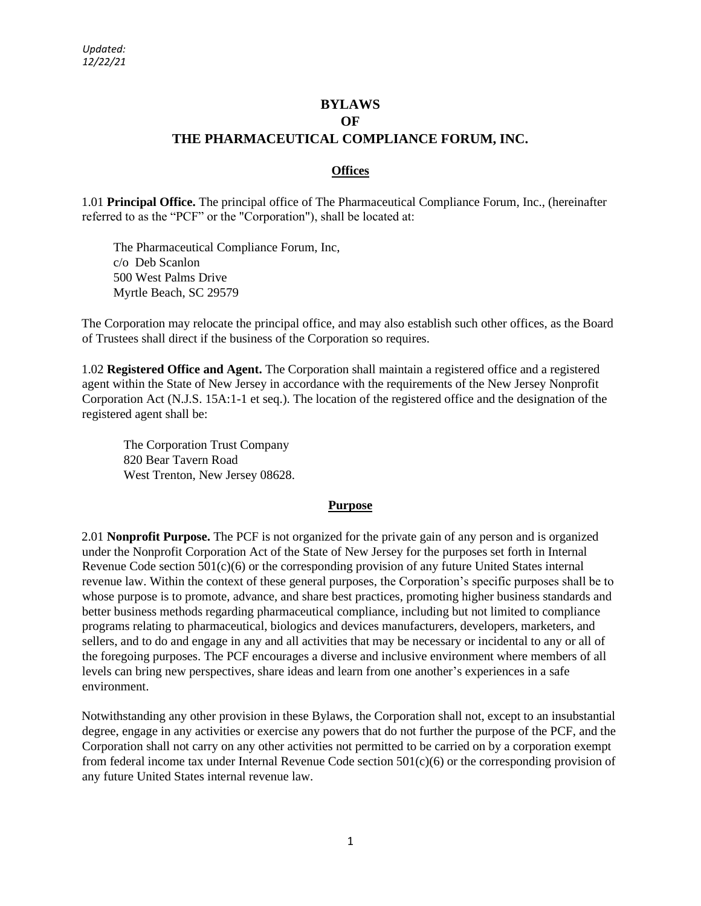# **BYLAWS OF THE PHARMACEUTICAL COMPLIANCE FORUM, INC.**

## **Offices**

1.01 **Principal Office.** The principal office of The Pharmaceutical Compliance Forum, Inc., (hereinafter referred to as the "PCF" or the "Corporation"), shall be located at:

The Pharmaceutical Compliance Forum, Inc, c/o Deb Scanlon 500 West Palms Drive Myrtle Beach, SC 29579

The Corporation may relocate the principal office, and may also establish such other offices, as the Board of Trustees shall direct if the business of the Corporation so requires.

1.02 **Registered Office and Agent.** The Corporation shall maintain a registered office and a registered agent within the State of New Jersey in accordance with the requirements of the New Jersey Nonprofit Corporation Act (N.J.S. 15A:1-1 et seq.). The location of the registered office and the designation of the registered agent shall be:

The Corporation Trust Company 820 Bear Tavern Road West Trenton, New Jersey 08628.

#### **Purpose**

2.01 **Nonprofit Purpose.** The PCF is not organized for the private gain of any person and is organized under the Nonprofit Corporation Act of the State of New Jersey for the purposes set forth in Internal Revenue Code section 501(c)(6) or the corresponding provision of any future United States internal revenue law. Within the context of these general purposes, the Corporation's specific purposes shall be to whose purpose is to promote, advance, and share best practices, promoting higher business standards and better business methods regarding pharmaceutical compliance, including but not limited to compliance programs relating to pharmaceutical, biologics and devices manufacturers, developers, marketers, and sellers, and to do and engage in any and all activities that may be necessary or incidental to any or all of the foregoing purposes. The PCF encourages a diverse and inclusive environment where members of all levels can bring new perspectives, share ideas and learn from one another's experiences in a safe environment.

Notwithstanding any other provision in these Bylaws, the Corporation shall not, except to an insubstantial degree, engage in any activities or exercise any powers that do not further the purpose of the PCF, and the Corporation shall not carry on any other activities not permitted to be carried on by a corporation exempt from federal income tax under Internal Revenue Code section 501(c)(6) or the corresponding provision of any future United States internal revenue law.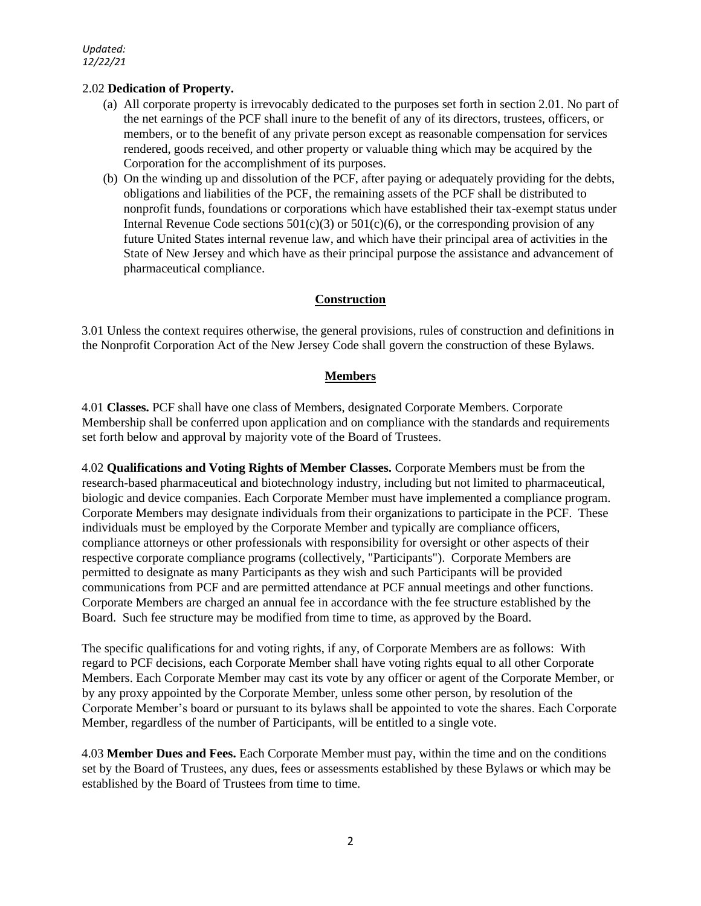# 2.02 **Dedication of Property.**

- (a) All corporate property is irrevocably dedicated to the purposes set forth in section 2.01. No part of the net earnings of the PCF shall inure to the benefit of any of its directors, trustees, officers, or members, or to the benefit of any private person except as reasonable compensation for services rendered, goods received, and other property or valuable thing which may be acquired by the Corporation for the accomplishment of its purposes.
- (b) On the winding up and dissolution of the PCF, after paying or adequately providing for the debts, obligations and liabilities of the PCF, the remaining assets of the PCF shall be distributed to nonprofit funds, foundations or corporations which have established their tax-exempt status under Internal Revenue Code sections  $501(c)(3)$  or  $501(c)(6)$ , or the corresponding provision of any future United States internal revenue law, and which have their principal area of activities in the State of New Jersey and which have as their principal purpose the assistance and advancement of pharmaceutical compliance.

# **Construction**

3.01 Unless the context requires otherwise, the general provisions, rules of construction and definitions in the Nonprofit Corporation Act of the New Jersey Code shall govern the construction of these Bylaws.

## **Members**

4.01 **Classes.** PCF shall have one class of Members, designated Corporate Members. Corporate Membership shall be conferred upon application and on compliance with the standards and requirements set forth below and approval by majority vote of the Board of Trustees.

4.02 **Qualifications and Voting Rights of Member Classes.** Corporate Members must be from the research-based pharmaceutical and biotechnology industry, including but not limited to pharmaceutical, biologic and device companies. Each Corporate Member must have implemented a compliance program. Corporate Members may designate individuals from their organizations to participate in the PCF. These individuals must be employed by the Corporate Member and typically are compliance officers, compliance attorneys or other professionals with responsibility for oversight or other aspects of their respective corporate compliance programs (collectively, "Participants"). Corporate Members are permitted to designate as many Participants as they wish and such Participants will be provided communications from PCF and are permitted attendance at PCF annual meetings and other functions. Corporate Members are charged an annual fee in accordance with the fee structure established by the Board. Such fee structure may be modified from time to time, as approved by the Board.

The specific qualifications for and voting rights, if any, of Corporate Members are as follows: With regard to PCF decisions, each Corporate Member shall have voting rights equal to all other Corporate Members. Each Corporate Member may cast its vote by any officer or agent of the Corporate Member, or by any proxy appointed by the Corporate Member, unless some other person, by resolution of the Corporate Member's board or pursuant to its bylaws shall be appointed to vote the shares. Each Corporate Member, regardless of the number of Participants, will be entitled to a single vote.

4.03 **Member Dues and Fees.** Each Corporate Member must pay, within the time and on the conditions set by the Board of Trustees, any dues, fees or assessments established by these Bylaws or which may be established by the Board of Trustees from time to time.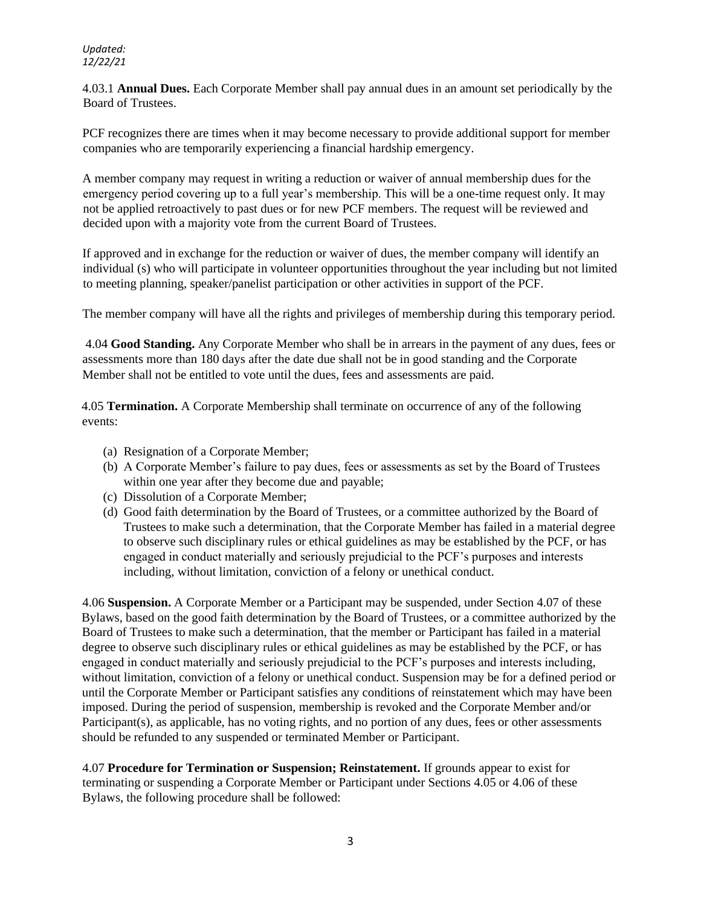4.03.1 **Annual Dues.** Each Corporate Member shall pay annual dues in an amount set periodically by the Board of Trustees.

PCF recognizes there are times when it may become necessary to provide additional support for member companies who are temporarily experiencing a financial hardship emergency.

A member company may request in writing a reduction or waiver of annual membership dues for the emergency period covering up to a full year's membership. This will be a one-time request only. It may not be applied retroactively to past dues or for new PCF members. The request will be reviewed and decided upon with a majority vote from the current Board of Trustees.

If approved and in exchange for the reduction or waiver of dues, the member company will identify an individual (s) who will participate in volunteer opportunities throughout the year including but not limited to meeting planning, speaker/panelist participation or other activities in support of the PCF.

The member company will have all the rights and privileges of membership during this temporary period.

4.04 **Good Standing.** Any Corporate Member who shall be in arrears in the payment of any dues, fees or assessments more than 180 days after the date due shall not be in good standing and the Corporate Member shall not be entitled to vote until the dues, fees and assessments are paid.

4.05 **Termination.** A Corporate Membership shall terminate on occurrence of any of the following events:

- (a) Resignation of a Corporate Member;
- (b) A Corporate Member's failure to pay dues, fees or assessments as set by the Board of Trustees within one year after they become due and payable;
- (c) Dissolution of a Corporate Member;
- (d) Good faith determination by the Board of Trustees, or a committee authorized by the Board of Trustees to make such a determination, that the Corporate Member has failed in a material degree to observe such disciplinary rules or ethical guidelines as may be established by the PCF, or has engaged in conduct materially and seriously prejudicial to the PCF's purposes and interests including, without limitation, conviction of a felony or unethical conduct.

4.06 **Suspension.** A Corporate Member or a Participant may be suspended, under Section 4.07 of these Bylaws, based on the good faith determination by the Board of Trustees, or a committee authorized by the Board of Trustees to make such a determination, that the member or Participant has failed in a material degree to observe such disciplinary rules or ethical guidelines as may be established by the PCF, or has engaged in conduct materially and seriously prejudicial to the PCF's purposes and interests including, without limitation, conviction of a felony or unethical conduct. Suspension may be for a defined period or until the Corporate Member or Participant satisfies any conditions of reinstatement which may have been imposed. During the period of suspension, membership is revoked and the Corporate Member and/or Participant(s), as applicable, has no voting rights, and no portion of any dues, fees or other assessments should be refunded to any suspended or terminated Member or Participant.

4.07 **Procedure for Termination or Suspension; Reinstatement.** If grounds appear to exist for terminating or suspending a Corporate Member or Participant under Sections 4.05 or 4.06 of these Bylaws, the following procedure shall be followed: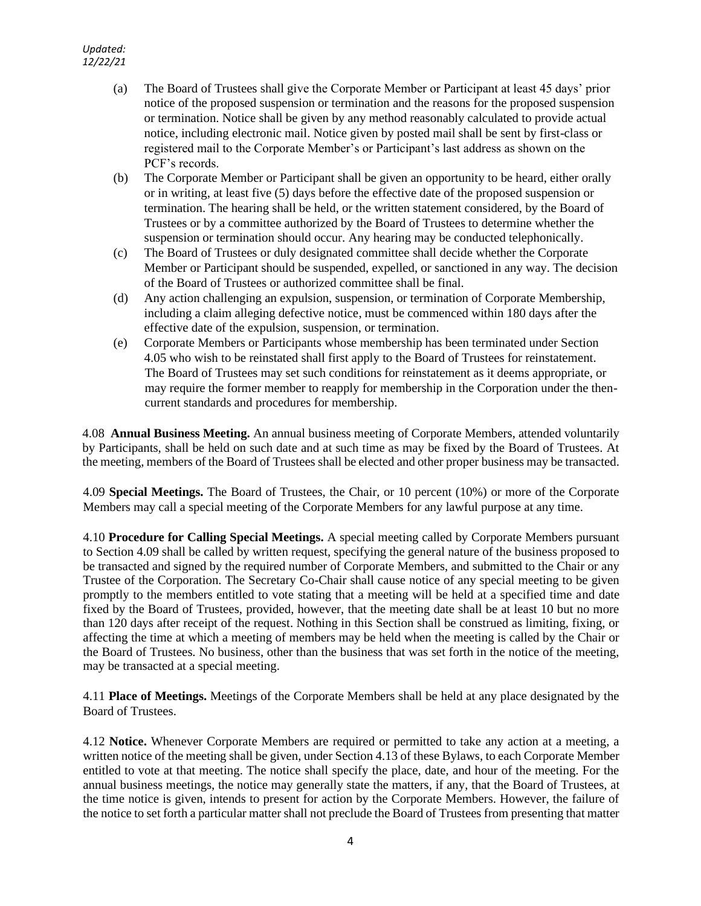- (a) The Board of Trustees shall give the Corporate Member or Participant at least 45 days' prior notice of the proposed suspension or termination and the reasons for the proposed suspension or termination. Notice shall be given by any method reasonably calculated to provide actual notice, including electronic mail. Notice given by posted mail shall be sent by first-class or registered mail to the Corporate Member's or Participant's last address as shown on the PCF's records.
- (b) The Corporate Member or Participant shall be given an opportunity to be heard, either orally or in writing, at least five (5) days before the effective date of the proposed suspension or termination. The hearing shall be held, or the written statement considered, by the Board of Trustees or by a committee authorized by the Board of Trustees to determine whether the suspension or termination should occur. Any hearing may be conducted telephonically.
- (c) The Board of Trustees or duly designated committee shall decide whether the Corporate Member or Participant should be suspended, expelled, or sanctioned in any way. The decision of the Board of Trustees or authorized committee shall be final.
- (d) Any action challenging an expulsion, suspension, or termination of Corporate Membership, including a claim alleging defective notice, must be commenced within 180 days after the effective date of the expulsion, suspension, or termination.
- (e) Corporate Members or Participants whose membership has been terminated under Section 4.05 who wish to be reinstated shall first apply to the Board of Trustees for reinstatement. The Board of Trustees may set such conditions for reinstatement as it deems appropriate, or may require the former member to reapply for membership in the Corporation under the thencurrent standards and procedures for membership.

4.08 **Annual Business Meeting.** An annual business meeting of Corporate Members, attended voluntarily by Participants, shall be held on such date and at such time as may be fixed by the Board of Trustees. At the meeting, members of the Board of Trustees shall be elected and other proper business may be transacted.

4.09 **Special Meetings.** The Board of Trustees, the Chair, or 10 percent (10%) or more of the Corporate Members may call a special meeting of the Corporate Members for any lawful purpose at any time.

4.10 **Procedure for Calling Special Meetings.** A special meeting called by Corporate Members pursuant to Section 4.09 shall be called by written request, specifying the general nature of the business proposed to be transacted and signed by the required number of Corporate Members, and submitted to the Chair or any Trustee of the Corporation. The Secretary Co-Chair shall cause notice of any special meeting to be given promptly to the members entitled to vote stating that a meeting will be held at a specified time and date fixed by the Board of Trustees, provided, however, that the meeting date shall be at least 10 but no more than 120 days after receipt of the request. Nothing in this Section shall be construed as limiting, fixing, or affecting the time at which a meeting of members may be held when the meeting is called by the Chair or the Board of Trustees. No business, other than the business that was set forth in the notice of the meeting, may be transacted at a special meeting.

4.11 **Place of Meetings.** Meetings of the Corporate Members shall be held at any place designated by the Board of Trustees.

4.12 **Notice.** Whenever Corporate Members are required or permitted to take any action at a meeting, a written notice of the meeting shall be given, under Section 4.13 of these Bylaws, to each Corporate Member entitled to vote at that meeting. The notice shall specify the place, date, and hour of the meeting. For the annual business meetings, the notice may generally state the matters, if any, that the Board of Trustees, at the time notice is given, intends to present for action by the Corporate Members. However, the failure of the notice to set forth a particular matter shall not preclude the Board of Trustees from presenting that matter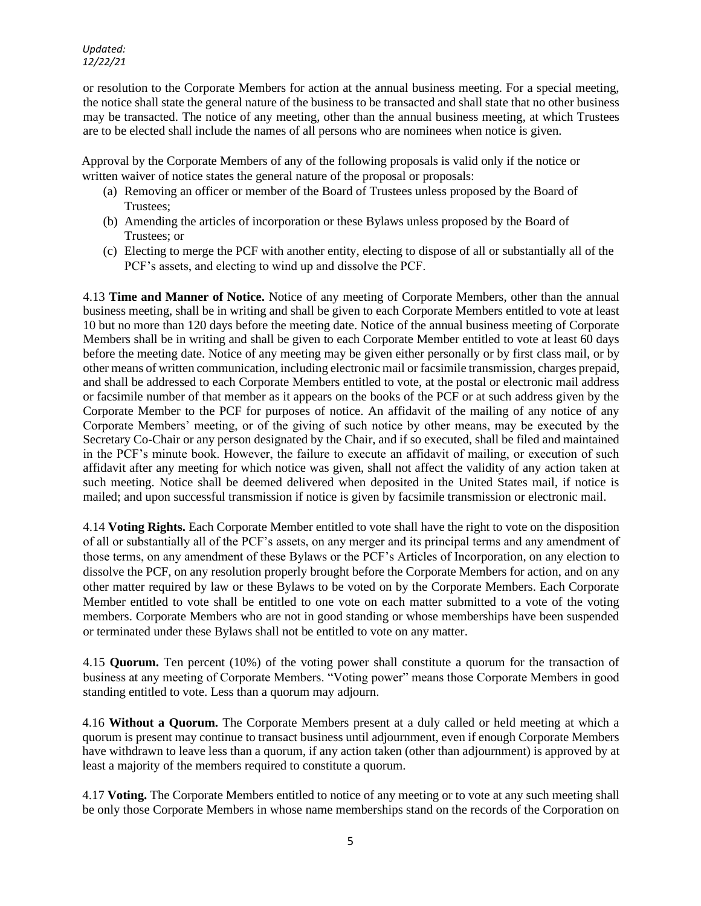or resolution to the Corporate Members for action at the annual business meeting. For a special meeting, the notice shall state the general nature of the business to be transacted and shall state that no other business may be transacted. The notice of any meeting, other than the annual business meeting, at which Trustees are to be elected shall include the names of all persons who are nominees when notice is given.

Approval by the Corporate Members of any of the following proposals is valid only if the notice or written waiver of notice states the general nature of the proposal or proposals:

- (a) Removing an officer or member of the Board of Trustees unless proposed by the Board of Trustees;
- (b) Amending the articles of incorporation or these Bylaws unless proposed by the Board of Trustees; or
- (c) Electing to merge the PCF with another entity, electing to dispose of all or substantially all of the PCF's assets, and electing to wind up and dissolve the PCF.

4.13 **Time and Manner of Notice.** Notice of any meeting of Corporate Members, other than the annual business meeting, shall be in writing and shall be given to each Corporate Members entitled to vote at least 10 but no more than 120 days before the meeting date. Notice of the annual business meeting of Corporate Members shall be in writing and shall be given to each Corporate Member entitled to vote at least 60 days before the meeting date. Notice of any meeting may be given either personally or by first class mail, or by other means of written communication, including electronic mail or facsimile transmission, charges prepaid, and shall be addressed to each Corporate Members entitled to vote, at the postal or electronic mail address or facsimile number of that member as it appears on the books of the PCF or at such address given by the Corporate Member to the PCF for purposes of notice. An affidavit of the mailing of any notice of any Corporate Members' meeting, or of the giving of such notice by other means, may be executed by the Secretary Co-Chair or any person designated by the Chair, and if so executed, shall be filed and maintained in the PCF's minute book. However, the failure to execute an affidavit of mailing, or execution of such affidavit after any meeting for which notice was given, shall not affect the validity of any action taken at such meeting. Notice shall be deemed delivered when deposited in the United States mail, if notice is mailed; and upon successful transmission if notice is given by facsimile transmission or electronic mail.

4.14 **Voting Rights.** Each Corporate Member entitled to vote shall have the right to vote on the disposition of all or substantially all of the PCF's assets, on any merger and its principal terms and any amendment of those terms, on any amendment of these Bylaws or the PCF's Articles of Incorporation, on any election to dissolve the PCF, on any resolution properly brought before the Corporate Members for action, and on any other matter required by law or these Bylaws to be voted on by the Corporate Members. Each Corporate Member entitled to vote shall be entitled to one vote on each matter submitted to a vote of the voting members. Corporate Members who are not in good standing or whose memberships have been suspended or terminated under these Bylaws shall not be entitled to vote on any matter.

4.15 **Quorum.** Ten percent (10%) of the voting power shall constitute a quorum for the transaction of business at any meeting of Corporate Members. "Voting power" means those Corporate Members in good standing entitled to vote. Less than a quorum may adjourn.

4.16 **Without a Quorum.** The Corporate Members present at a duly called or held meeting at which a quorum is present may continue to transact business until adjournment, even if enough Corporate Members have withdrawn to leave less than a quorum, if any action taken (other than adjournment) is approved by at least a majority of the members required to constitute a quorum.

4.17 **Voting.** The Corporate Members entitled to notice of any meeting or to vote at any such meeting shall be only those Corporate Members in whose name memberships stand on the records of the Corporation on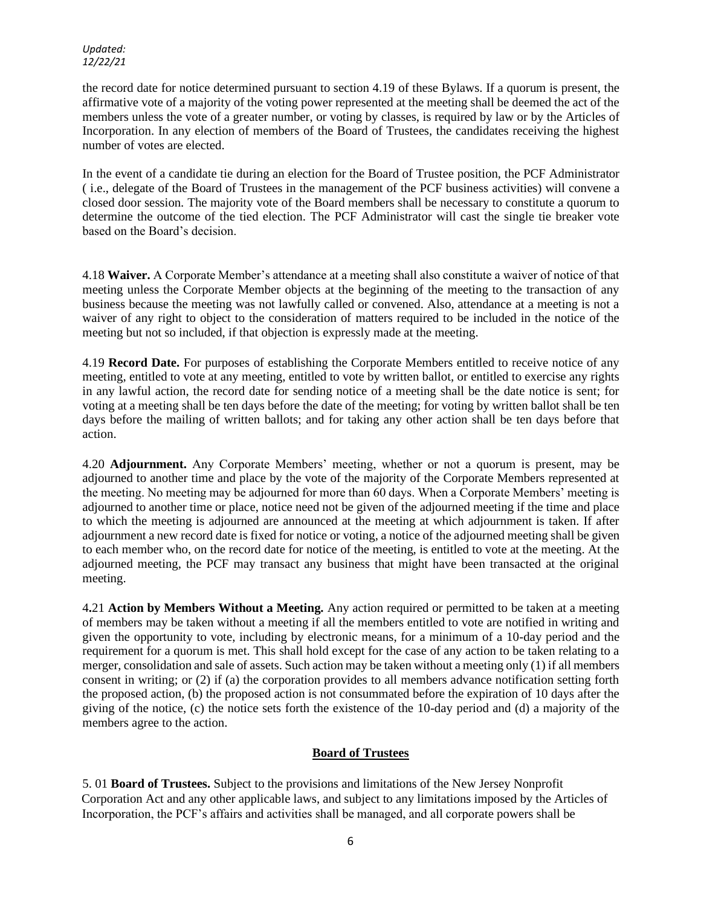the record date for notice determined pursuant to section 4.19 of these Bylaws. If a quorum is present, the affirmative vote of a majority of the voting power represented at the meeting shall be deemed the act of the members unless the vote of a greater number, or voting by classes, is required by law or by the Articles of Incorporation. In any election of members of the Board of Trustees, the candidates receiving the highest number of votes are elected.

In the event of a candidate tie during an election for the Board of Trustee position, the PCF Administrator ( i.e., delegate of the Board of Trustees in the management of the PCF business activities) will convene a closed door session. The majority vote of the Board members shall be necessary to constitute a quorum to determine the outcome of the tied election. The PCF Administrator will cast the single tie breaker vote based on the Board's decision.

4.18 **Waiver.** A Corporate Member's attendance at a meeting shall also constitute a waiver of notice of that meeting unless the Corporate Member objects at the beginning of the meeting to the transaction of any business because the meeting was not lawfully called or convened. Also, attendance at a meeting is not a waiver of any right to object to the consideration of matters required to be included in the notice of the meeting but not so included, if that objection is expressly made at the meeting.

4.19 **Record Date.** For purposes of establishing the Corporate Members entitled to receive notice of any meeting, entitled to vote at any meeting, entitled to vote by written ballot, or entitled to exercise any rights in any lawful action, the record date for sending notice of a meeting shall be the date notice is sent; for voting at a meeting shall be ten days before the date of the meeting; for voting by written ballot shall be ten days before the mailing of written ballots; and for taking any other action shall be ten days before that action.

4.20 **Adjournment.** Any Corporate Members' meeting, whether or not a quorum is present, may be adjourned to another time and place by the vote of the majority of the Corporate Members represented at the meeting. No meeting may be adjourned for more than 60 days. When a Corporate Members' meeting is adjourned to another time or place, notice need not be given of the adjourned meeting if the time and place to which the meeting is adjourned are announced at the meeting at which adjournment is taken. If after adjournment a new record date is fixed for notice or voting, a notice of the adjourned meeting shall be given to each member who, on the record date for notice of the meeting, is entitled to vote at the meeting. At the adjourned meeting, the PCF may transact any business that might have been transacted at the original meeting.

4**.**21 **Action by Members Without a Meeting.** Any action required or permitted to be taken at a meeting of members may be taken without a meeting if all the members entitled to vote are notified in writing and given the opportunity to vote, including by electronic means, for a minimum of a 10-day period and the requirement for a quorum is met. This shall hold except for the case of any action to be taken relating to a merger, consolidation and sale of assets. Such action may be taken without a meeting only (1) if all members consent in writing; or (2) if (a) the corporation provides to all members advance notification setting forth the proposed action, (b) the proposed action is not consummated before the expiration of 10 days after the giving of the notice, (c) the notice sets forth the existence of the 10-day period and (d) a majority of the members agree to the action.

# **Board of Trustees**

5. 01 **Board of Trustees.** Subject to the provisions and limitations of the New Jersey Nonprofit Corporation Act and any other applicable laws, and subject to any limitations imposed by the Articles of Incorporation, the PCF's affairs and activities shall be managed, and all corporate powers shall be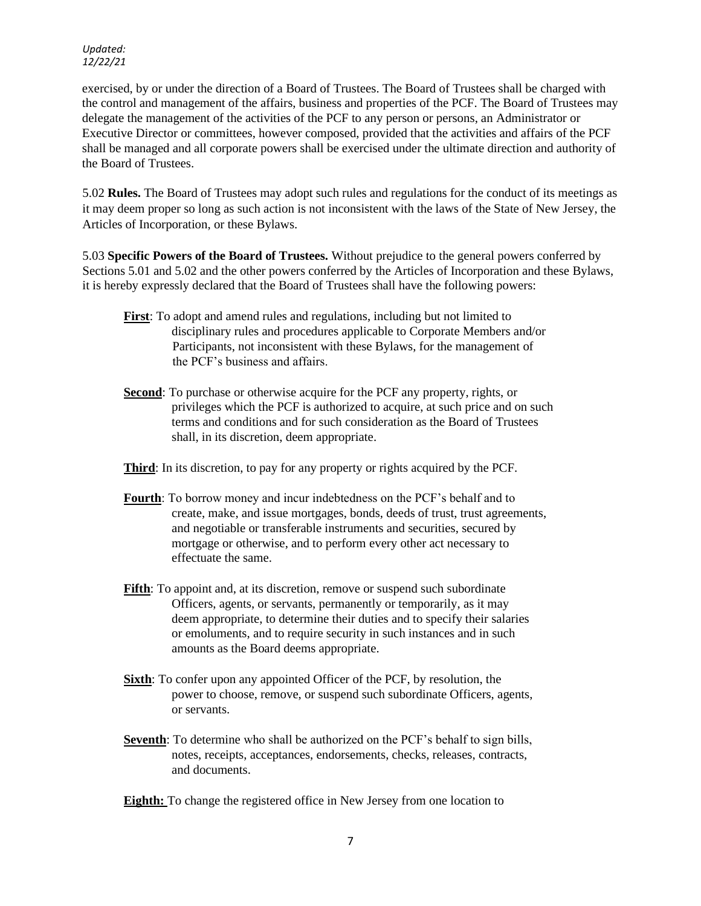exercised, by or under the direction of a Board of Trustees. The Board of Trustees shall be charged with the control and management of the affairs, business and properties of the PCF. The Board of Trustees may delegate the management of the activities of the PCF to any person or persons, an Administrator or Executive Director or committees, however composed, provided that the activities and affairs of the PCF shall be managed and all corporate powers shall be exercised under the ultimate direction and authority of the Board of Trustees.

5.02 **Rules.** The Board of Trustees may adopt such rules and regulations for the conduct of its meetings as it may deem proper so long as such action is not inconsistent with the laws of the State of New Jersey, the Articles of Incorporation, or these Bylaws.

5.03 **Specific Powers of the Board of Trustees.** Without prejudice to the general powers conferred by Sections 5.01 and 5.02 and the other powers conferred by the Articles of Incorporation and these Bylaws, it is hereby expressly declared that the Board of Trustees shall have the following powers:

- **First**: To adopt and amend rules and regulations, including but not limited to disciplinary rules and procedures applicable to Corporate Members and/or Participants, not inconsistent with these Bylaws, for the management of the PCF's business and affairs.
- **Second**: To purchase or otherwise acquire for the PCF any property, rights, or privileges which the PCF is authorized to acquire, at such price and on such terms and conditions and for such consideration as the Board of Trustees shall, in its discretion, deem appropriate.
- **Third**: In its discretion, to pay for any property or rights acquired by the PCF.
- **Fourth**: To borrow money and incur indebtedness on the PCF's behalf and to create, make, and issue mortgages, bonds, deeds of trust, trust agreements, and negotiable or transferable instruments and securities, secured by mortgage or otherwise, and to perform every other act necessary to effectuate the same.
- **Fifth**: To appoint and, at its discretion, remove or suspend such subordinate Officers, agents, or servants, permanently or temporarily, as it may deem appropriate, to determine their duties and to specify their salaries or emoluments, and to require security in such instances and in such amounts as the Board deems appropriate.
- **Sixth**: To confer upon any appointed Officer of the PCF, by resolution, the power to choose, remove, or suspend such subordinate Officers, agents, or servants.
- **Seventh**: To determine who shall be authorized on the PCF's behalf to sign bills, notes, receipts, acceptances, endorsements, checks, releases, contracts, and documents.
- **Eighth:** To change the registered office in New Jersey from one location to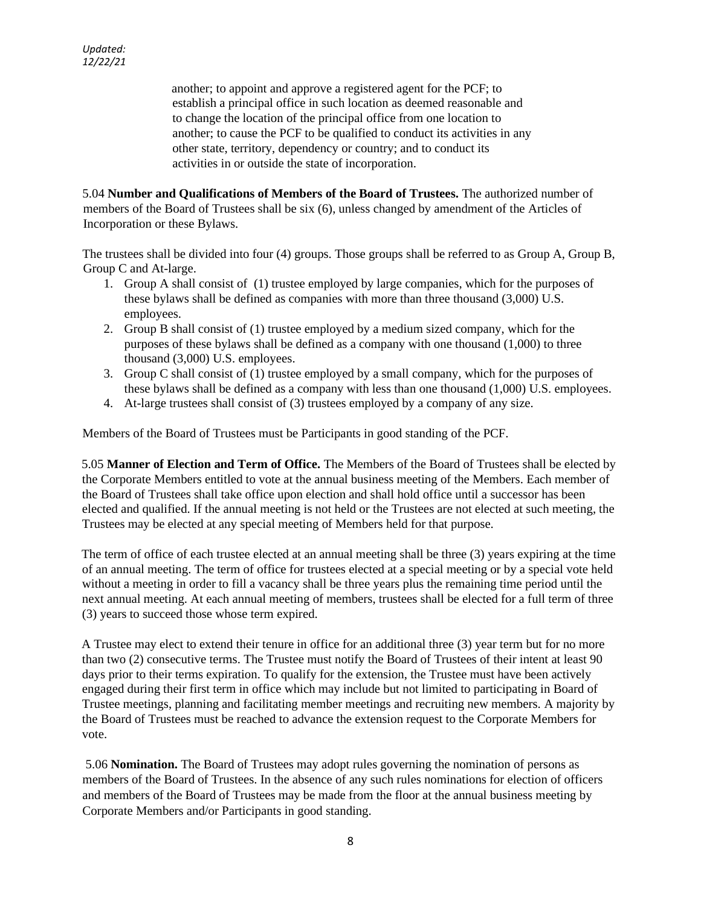another; to appoint and approve a registered agent for the PCF; to establish a principal office in such location as deemed reasonable and to change the location of the principal office from one location to another; to cause the PCF to be qualified to conduct its activities in any other state, territory, dependency or country; and to conduct its activities in or outside the state of incorporation.

5.04 **Number and Qualifications of Members of the Board of Trustees.** The authorized number of members of the Board of Trustees shall be six (6), unless changed by amendment of the Articles of Incorporation or these Bylaws.

The trustees shall be divided into four (4) groups. Those groups shall be referred to as Group A, Group B, Group C and At-large.

- 1. Group A shall consist of (1) trustee employed by large companies, which for the purposes of these bylaws shall be defined as companies with more than three thousand (3,000) U.S. employees.
- 2. Group B shall consist of (1) trustee employed by a medium sized company, which for the purposes of these bylaws shall be defined as a company with one thousand (1,000) to three thousand (3,000) U.S. employees.
- 3. Group C shall consist of (1) trustee employed by a small company, which for the purposes of these bylaws shall be defined as a company with less than one thousand (1,000) U.S. employees.
- 4. At-large trustees shall consist of (3) trustees employed by a company of any size.

Members of the Board of Trustees must be Participants in good standing of the PCF.

5.05 **Manner of Election and Term of Office.** The Members of the Board of Trustees shall be elected by the Corporate Members entitled to vote at the annual business meeting of the Members. Each member of the Board of Trustees shall take office upon election and shall hold office until a successor has been elected and qualified. If the annual meeting is not held or the Trustees are not elected at such meeting, the Trustees may be elected at any special meeting of Members held for that purpose.

The term of office of each trustee elected at an annual meeting shall be three (3) years expiring at the time of an annual meeting. The term of office for trustees elected at a special meeting or by a special vote held without a meeting in order to fill a vacancy shall be three years plus the remaining time period until the next annual meeting. At each annual meeting of members, trustees shall be elected for a full term of three (3) years to succeed those whose term expired.

A Trustee may elect to extend their tenure in office for an additional three (3) year term but for no more than two (2) consecutive terms. The Trustee must notify the Board of Trustees of their intent at least 90 days prior to their terms expiration. To qualify for the extension, the Trustee must have been actively engaged during their first term in office which may include but not limited to participating in Board of Trustee meetings, planning and facilitating member meetings and recruiting new members. A majority by the Board of Trustees must be reached to advance the extension request to the Corporate Members for vote.

5.06 **Nomination.** The Board of Trustees may adopt rules governing the nomination of persons as members of the Board of Trustees. In the absence of any such rules nominations for election of officers and members of the Board of Trustees may be made from the floor at the annual business meeting by Corporate Members and/or Participants in good standing.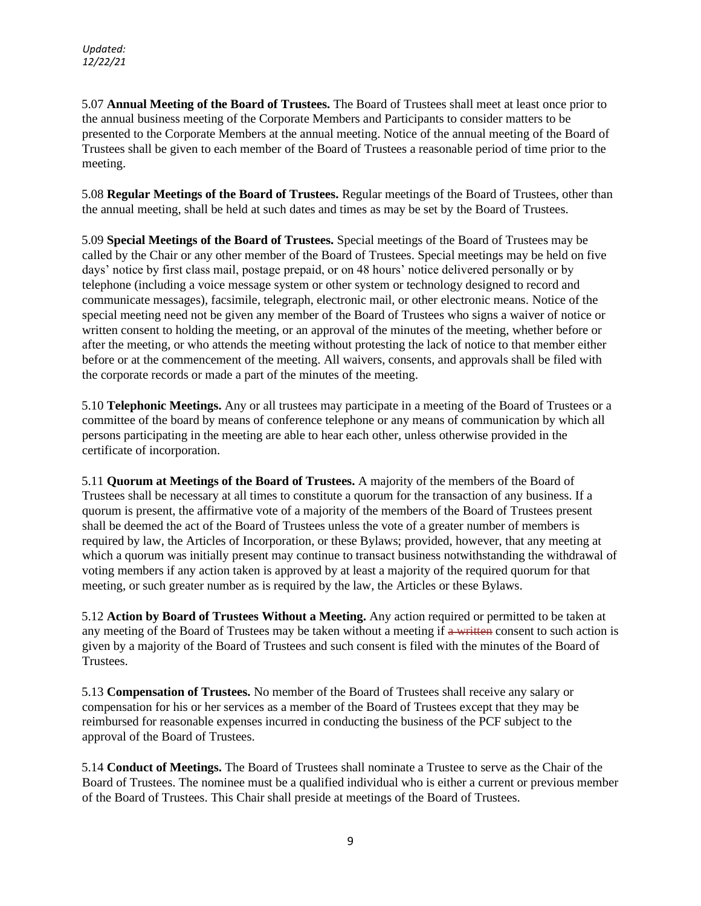5.07 **Annual Meeting of the Board of Trustees.** The Board of Trustees shall meet at least once prior to the annual business meeting of the Corporate Members and Participants to consider matters to be presented to the Corporate Members at the annual meeting. Notice of the annual meeting of the Board of Trustees shall be given to each member of the Board of Trustees a reasonable period of time prior to the meeting.

5.08 **Regular Meetings of the Board of Trustees.** Regular meetings of the Board of Trustees, other than the annual meeting, shall be held at such dates and times as may be set by the Board of Trustees.

5.09 **Special Meetings of the Board of Trustees.** Special meetings of the Board of Trustees may be called by the Chair or any other member of the Board of Trustees. Special meetings may be held on five days' notice by first class mail, postage prepaid, or on 48 hours' notice delivered personally or by telephone (including a voice message system or other system or technology designed to record and communicate messages), facsimile, telegraph, electronic mail, or other electronic means. Notice of the special meeting need not be given any member of the Board of Trustees who signs a waiver of notice or written consent to holding the meeting, or an approval of the minutes of the meeting, whether before or after the meeting, or who attends the meeting without protesting the lack of notice to that member either before or at the commencement of the meeting. All waivers, consents, and approvals shall be filed with the corporate records or made a part of the minutes of the meeting.

5.10 **Telephonic Meetings.** Any or all trustees may participate in a meeting of the Board of Trustees or a committee of the board by means of conference telephone or any means of communication by which all persons participating in the meeting are able to hear each other, unless otherwise provided in the certificate of incorporation.

5.11 **Quorum at Meetings of the Board of Trustees.** A majority of the members of the Board of Trustees shall be necessary at all times to constitute a quorum for the transaction of any business. If a quorum is present, the affirmative vote of a majority of the members of the Board of Trustees present shall be deemed the act of the Board of Trustees unless the vote of a greater number of members is required by law, the Articles of Incorporation, or these Bylaws; provided, however, that any meeting at which a quorum was initially present may continue to transact business notwithstanding the withdrawal of voting members if any action taken is approved by at least a majority of the required quorum for that meeting, or such greater number as is required by the law, the Articles or these Bylaws.

5.12 **Action by Board of Trustees Without a Meeting.** Any action required or permitted to be taken at any meeting of the Board of Trustees may be taken without a meeting if a written consent to such action is given by a majority of the Board of Trustees and such consent is filed with the minutes of the Board of Trustees.

5.13 **Compensation of Trustees.** No member of the Board of Trustees shall receive any salary or compensation for his or her services as a member of the Board of Trustees except that they may be reimbursed for reasonable expenses incurred in conducting the business of the PCF subject to the approval of the Board of Trustees.

5.14 **Conduct of Meetings.** The Board of Trustees shall nominate a Trustee to serve as the Chair of the Board of Trustees. The nominee must be a qualified individual who is either a current or previous member of the Board of Trustees. This Chair shall preside at meetings of the Board of Trustees.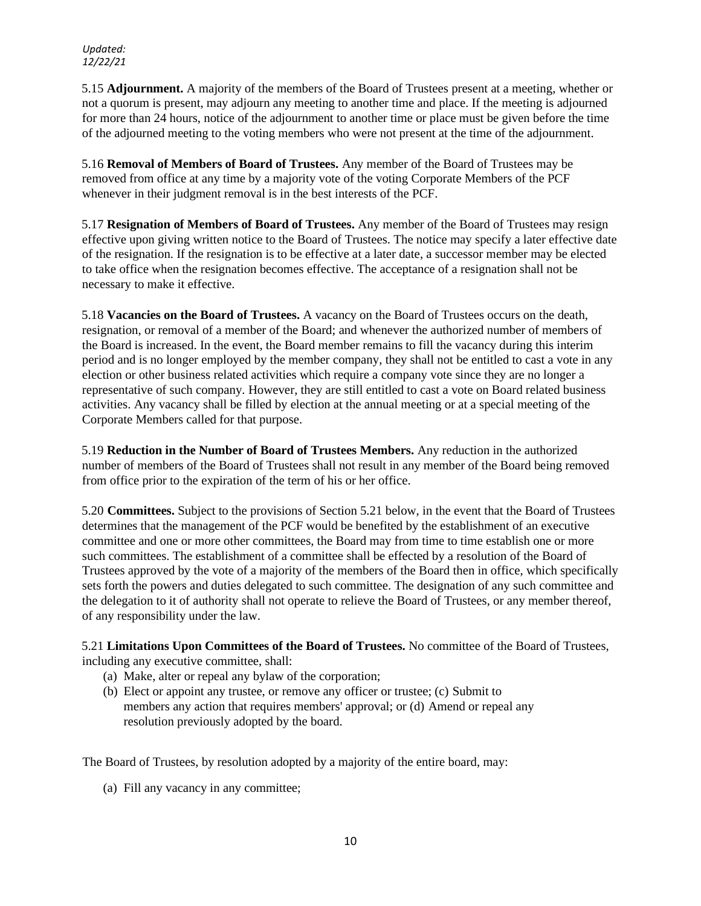5.15 **Adjournment.** A majority of the members of the Board of Trustees present at a meeting, whether or not a quorum is present, may adjourn any meeting to another time and place. If the meeting is adjourned for more than 24 hours, notice of the adjournment to another time or place must be given before the time of the adjourned meeting to the voting members who were not present at the time of the adjournment.

5.16 **Removal of Members of Board of Trustees.** Any member of the Board of Trustees may be removed from office at any time by a majority vote of the voting Corporate Members of the PCF whenever in their judgment removal is in the best interests of the PCF.

5.17 **Resignation of Members of Board of Trustees.** Any member of the Board of Trustees may resign effective upon giving written notice to the Board of Trustees. The notice may specify a later effective date of the resignation. If the resignation is to be effective at a later date, a successor member may be elected to take office when the resignation becomes effective. The acceptance of a resignation shall not be necessary to make it effective.

5.18 **Vacancies on the Board of Trustees.** A vacancy on the Board of Trustees occurs on the death, resignation, or removal of a member of the Board; and whenever the authorized number of members of the Board is increased. In the event, the Board member remains to fill the vacancy during this interim period and is no longer employed by the member company, they shall not be entitled to cast a vote in any election or other business related activities which require a company vote since they are no longer a representative of such company. However, they are still entitled to cast a vote on Board related business activities. Any vacancy shall be filled by election at the annual meeting or at a special meeting of the Corporate Members called for that purpose.

5.19 **Reduction in the Number of Board of Trustees Members.** Any reduction in the authorized number of members of the Board of Trustees shall not result in any member of the Board being removed from office prior to the expiration of the term of his or her office.

5.20 **Committees.** Subject to the provisions of Section 5.21 below, in the event that the Board of Trustees determines that the management of the PCF would be benefited by the establishment of an executive committee and one or more other committees, the Board may from time to time establish one or more such committees. The establishment of a committee shall be effected by a resolution of the Board of Trustees approved by the vote of a majority of the members of the Board then in office, which specifically sets forth the powers and duties delegated to such committee. The designation of any such committee and the delegation to it of authority shall not operate to relieve the Board of Trustees, or any member thereof, of any responsibility under the law.

5.21 **Limitations Upon Committees of the Board of Trustees.** No committee of the Board of Trustees, including any executive committee, shall:

- (a) Make, alter or repeal any bylaw of the corporation;
- (b) Elect or appoint any trustee, or remove any officer or trustee; (c) Submit to members any action that requires members' approval; or (d) Amend or repeal any resolution previously adopted by the board.

The Board of Trustees, by resolution adopted by a majority of the entire board, may:

(a) Fill any vacancy in any committee;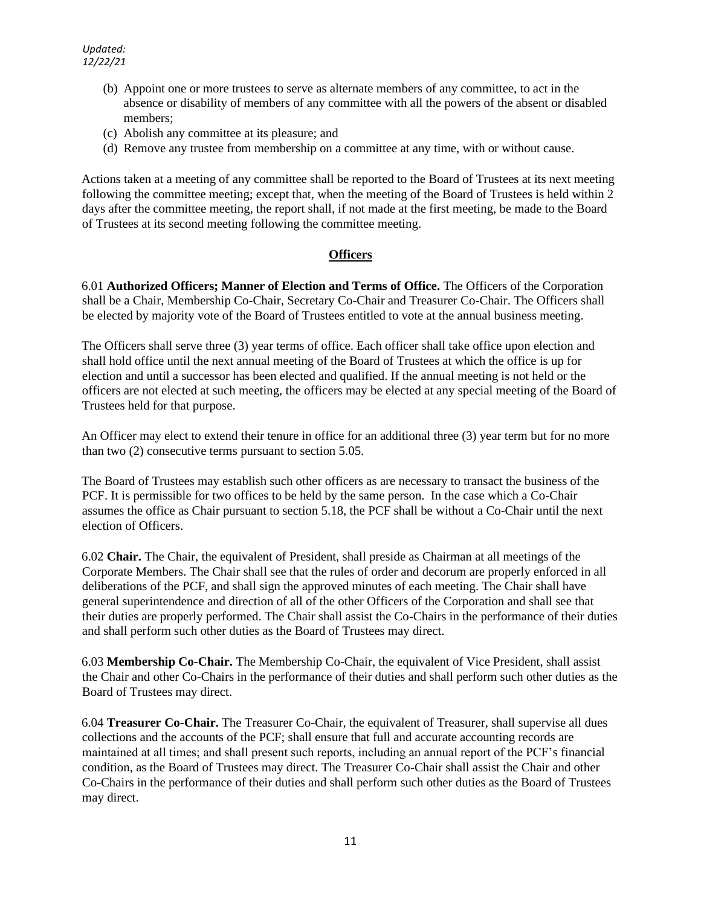- (b) Appoint one or more trustees to serve as alternate members of any committee, to act in the absence or disability of members of any committee with all the powers of the absent or disabled members;
- (c) Abolish any committee at its pleasure; and
- (d) Remove any trustee from membership on a committee at any time, with or without cause.

Actions taken at a meeting of any committee shall be reported to the Board of Trustees at its next meeting following the committee meeting; except that, when the meeting of the Board of Trustees is held within 2 days after the committee meeting, the report shall, if not made at the first meeting, be made to the Board of Trustees at its second meeting following the committee meeting.

# **Officers**

6.01 **Authorized Officers; Manner of Election and Terms of Office.** The Officers of the Corporation shall be a Chair, Membership Co-Chair, Secretary Co-Chair and Treasurer Co-Chair. The Officers shall be elected by majority vote of the Board of Trustees entitled to vote at the annual business meeting.

The Officers shall serve three (3) year terms of office. Each officer shall take office upon election and shall hold office until the next annual meeting of the Board of Trustees at which the office is up for election and until a successor has been elected and qualified. If the annual meeting is not held or the officers are not elected at such meeting, the officers may be elected at any special meeting of the Board of Trustees held for that purpose.

An Officer may elect to extend their tenure in office for an additional three (3) year term but for no more than two (2) consecutive terms pursuant to section 5.05.

The Board of Trustees may establish such other officers as are necessary to transact the business of the PCF. It is permissible for two offices to be held by the same person. In the case which a Co-Chair assumes the office as Chair pursuant to section 5.18, the PCF shall be without a Co-Chair until the next election of Officers.

6.02 **Chair.** The Chair, the equivalent of President, shall preside as Chairman at all meetings of the Corporate Members. The Chair shall see that the rules of order and decorum are properly enforced in all deliberations of the PCF, and shall sign the approved minutes of each meeting. The Chair shall have general superintendence and direction of all of the other Officers of the Corporation and shall see that their duties are properly performed. The Chair shall assist the Co-Chairs in the performance of their duties and shall perform such other duties as the Board of Trustees may direct.

6.03 **Membership Co-Chair.** The Membership Co-Chair, the equivalent of Vice President, shall assist the Chair and other Co-Chairs in the performance of their duties and shall perform such other duties as the Board of Trustees may direct.

6.04 **Treasurer Co-Chair.** The Treasurer Co-Chair, the equivalent of Treasurer, shall supervise all dues collections and the accounts of the PCF; shall ensure that full and accurate accounting records are maintained at all times; and shall present such reports, including an annual report of the PCF's financial condition, as the Board of Trustees may direct. The Treasurer Co-Chair shall assist the Chair and other Co-Chairs in the performance of their duties and shall perform such other duties as the Board of Trustees may direct.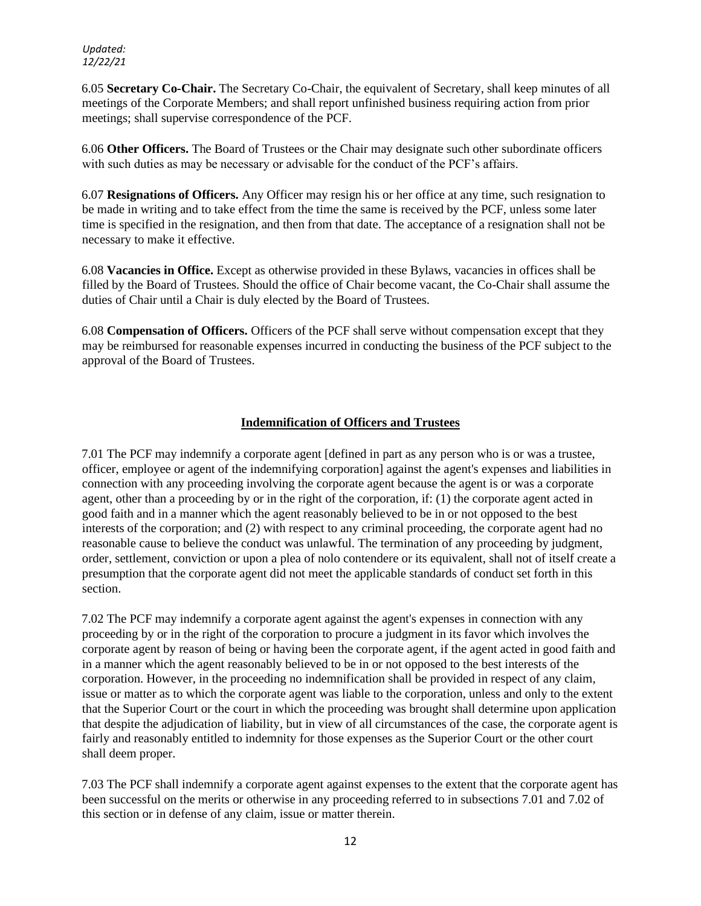6.05 **Secretary Co-Chair.** The Secretary Co-Chair, the equivalent of Secretary, shall keep minutes of all meetings of the Corporate Members; and shall report unfinished business requiring action from prior meetings; shall supervise correspondence of the PCF.

6.06 **Other Officers.** The Board of Trustees or the Chair may designate such other subordinate officers with such duties as may be necessary or advisable for the conduct of the PCF's affairs.

6.07 **Resignations of Officers.** Any Officer may resign his or her office at any time, such resignation to be made in writing and to take effect from the time the same is received by the PCF, unless some later time is specified in the resignation, and then from that date. The acceptance of a resignation shall not be necessary to make it effective.

6.08 **Vacancies in Office.** Except as otherwise provided in these Bylaws, vacancies in offices shall be filled by the Board of Trustees. Should the office of Chair become vacant, the Co-Chair shall assume the duties of Chair until a Chair is duly elected by the Board of Trustees.

6.08 **Compensation of Officers.** Officers of the PCF shall serve without compensation except that they may be reimbursed for reasonable expenses incurred in conducting the business of the PCF subject to the approval of the Board of Trustees.

# **Indemnification of Officers and Trustees**

7.01 The PCF may indemnify a corporate agent [defined in part as any person who is or was a trustee, officer, employee or agent of the indemnifying corporation] against the agent's expenses and liabilities in connection with any proceeding involving the corporate agent because the agent is or was a corporate agent, other than a proceeding by or in the right of the corporation, if: (1) the corporate agent acted in good faith and in a manner which the agent reasonably believed to be in or not opposed to the best interests of the corporation; and (2) with respect to any criminal proceeding, the corporate agent had no reasonable cause to believe the conduct was unlawful. The termination of any proceeding by judgment, order, settlement, conviction or upon a plea of nolo contendere or its equivalent, shall not of itself create a presumption that the corporate agent did not meet the applicable standards of conduct set forth in this section.

7.02 The PCF may indemnify a corporate agent against the agent's expenses in connection with any proceeding by or in the right of the corporation to procure a judgment in its favor which involves the corporate agent by reason of being or having been the corporate agent, if the agent acted in good faith and in a manner which the agent reasonably believed to be in or not opposed to the best interests of the corporation. However, in the proceeding no indemnification shall be provided in respect of any claim, issue or matter as to which the corporate agent was liable to the corporation, unless and only to the extent that the Superior Court or the court in which the proceeding was brought shall determine upon application that despite the adjudication of liability, but in view of all circumstances of the case, the corporate agent is fairly and reasonably entitled to indemnity for those expenses as the Superior Court or the other court shall deem proper.

7.03 The PCF shall indemnify a corporate agent against expenses to the extent that the corporate agent has been successful on the merits or otherwise in any proceeding referred to in subsections 7.01 and 7.02 of this section or in defense of any claim, issue or matter therein.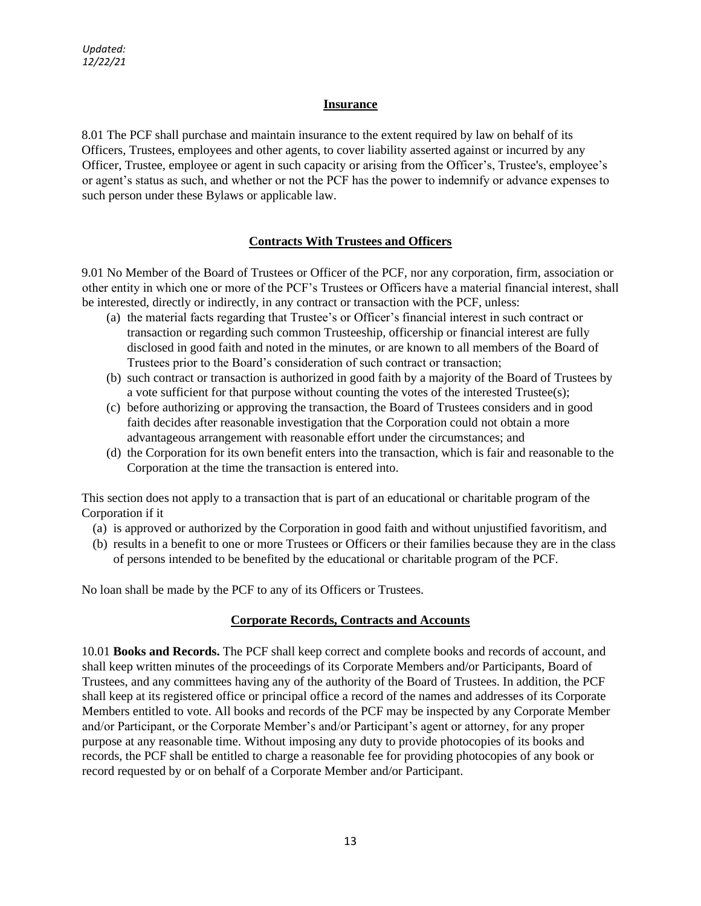# **Insurance**

8.01 The PCF shall purchase and maintain insurance to the extent required by law on behalf of its Officers, Trustees, employees and other agents, to cover liability asserted against or incurred by any Officer, Trustee, employee or agent in such capacity or arising from the Officer's, Trustee's, employee's or agent's status as such, and whether or not the PCF has the power to indemnify or advance expenses to such person under these Bylaws or applicable law.

# **Contracts With Trustees and Officers**

9.01 No Member of the Board of Trustees or Officer of the PCF, nor any corporation, firm, association or other entity in which one or more of the PCF's Trustees or Officers have a material financial interest, shall be interested, directly or indirectly, in any contract or transaction with the PCF, unless:

- (a) the material facts regarding that Trustee's or Officer's financial interest in such contract or transaction or regarding such common Trusteeship, officership or financial interest are fully disclosed in good faith and noted in the minutes, or are known to all members of the Board of Trustees prior to the Board's consideration of such contract or transaction;
- (b) such contract or transaction is authorized in good faith by a majority of the Board of Trustees by a vote sufficient for that purpose without counting the votes of the interested Trustee(s);
- (c) before authorizing or approving the transaction, the Board of Trustees considers and in good faith decides after reasonable investigation that the Corporation could not obtain a more advantageous arrangement with reasonable effort under the circumstances; and
- (d) the Corporation for its own benefit enters into the transaction, which is fair and reasonable to the Corporation at the time the transaction is entered into.

This section does not apply to a transaction that is part of an educational or charitable program of the Corporation if it

- (a) is approved or authorized by the Corporation in good faith and without unjustified favoritism, and
- (b) results in a benefit to one or more Trustees or Officers or their families because they are in the class of persons intended to be benefited by the educational or charitable program of the PCF.

No loan shall be made by the PCF to any of its Officers or Trustees.

## **Corporate Records, Contracts and Accounts**

10.01 **Books and Records.** The PCF shall keep correct and complete books and records of account, and shall keep written minutes of the proceedings of its Corporate Members and/or Participants, Board of Trustees, and any committees having any of the authority of the Board of Trustees. In addition, the PCF shall keep at its registered office or principal office a record of the names and addresses of its Corporate Members entitled to vote. All books and records of the PCF may be inspected by any Corporate Member and/or Participant, or the Corporate Member's and/or Participant's agent or attorney, for any proper purpose at any reasonable time. Without imposing any duty to provide photocopies of its books and records, the PCF shall be entitled to charge a reasonable fee for providing photocopies of any book or record requested by or on behalf of a Corporate Member and/or Participant.